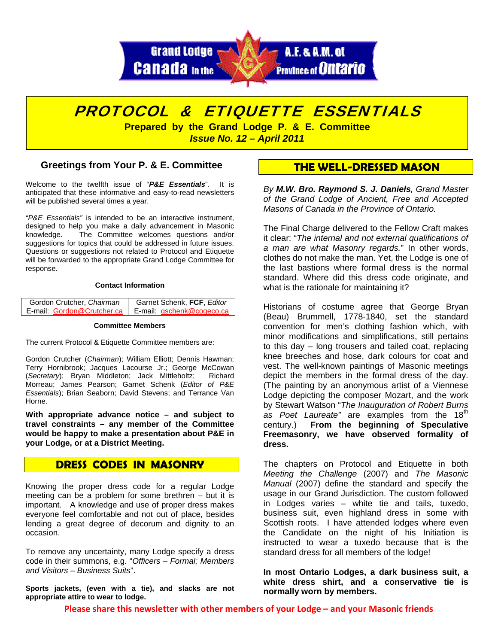

# PROTOCOL & ETIQUETTE ESSENTIALS

**Prepared by the Grand Lodge P. & E. Committee**  *Issue No. 12 – April 2011* 

### **Greetings from Your P. & E. Committee**

Welcome to the twelfth issue of "*P&E Essentials*". It is anticipated that these informative and easy-to-read newsletters will be published several times a year.

*"P&E Essentials"* is intended to be an interactive instrument, designed to help you make a daily advancement in Masonic knowledge. The Committee welcomes questions and/or suggestions for topics that could be addressed in future issues. Questions or suggestions not related to Protocol and Etiquette will be forwarded to the appropriate Grand Lodge Committee for response.

#### **Contact Information**

| Gordon Crutcher, Chairman | Garnet Schenk, FCF, Editor                             |
|---------------------------|--------------------------------------------------------|
|                           | E-mail: Gordon@Crutcher.ca   E-mail: gschenk@cogeco.ca |

#### **Committee Members**

The current Protocol & Etiquette Committee members are:

Gordon Crutcher (*Chairman*); William Elliott; Dennis Hawman; Terry Hornibrook; Jacques Lacourse Jr.; George McCowan (*Secretary*); Bryan Middleton; Jack Mittleholtz; Richard Morreau; James Pearson; Garnet Schenk (*Editor of P&E Essentials*); Brian Seaborn; David Stevens; and Terrance Van Horne.

**With appropriate advance notice – and subject to travel constraints – any member of the Committee would be happy to make a presentation about P&E in your Lodge, or at a District Meeting.** 

## **DRESS CODES IN MASONRY**

Knowing the proper dress code for a regular Lodge meeting can be a problem for some brethren – but it is important. A knowledge and use of proper dress makes everyone feel comfortable and not out of place, besides lending a great degree of decorum and dignity to an occasion.

To remove any uncertainty, many Lodge specify a dress code in their summons, e.g. "*Officers – Formal; Members and Visitors – Business Suits*".

**Sports jackets, (even with a tie), and slacks are not appropriate attire to wear to lodge.** 

## **THE WELL-DRESSED MASON**

*By M.W. Bro. Raymond S. J. Daniels, Grand Master of the Grand Lodge of Ancient, Free and Accepted Masons of Canada in the Province of Ontario.* 

The Final Charge delivered to the Fellow Craft makes it clear: "*The internal and not external qualifications of a man are what Masonry regards.*" In other words, clothes do not make the man. Yet, the Lodge is one of the last bastions where formal dress is the normal standard. Where did this dress code originate, and what is the rationale for maintaining it?

Historians of costume agree that George Bryan (Beau) Brummell, 1778-1840, set the standard convention for men's clothing fashion which, with minor modifications and simplifications, still pertains to this day – long trousers and tailed coat, replacing knee breeches and hose, dark colours for coat and vest. The well-known paintings of Masonic meetings depict the members in the formal dress of the day. (The painting by an anonymous artist of a Viennese Lodge depicting the composer Mozart, and the work by Stewart Watson "*The Inauguration of Robert Burns*  as Poet Laureate" are examples from the 18<sup>th</sup> century.) **From the beginning of Speculative Freemasonry, we have observed formality of dress.** 

The chapters on Protocol and Etiquette in both *Meeting the Challenge* (2007) and *The Masonic Manual* (2007) define the standard and specify the usage in our Grand Jurisdiction. The custom followed in Lodges varies – white tie and tails, tuxedo, business suit, even highland dress in some with Scottish roots. I have attended lodges where even the Candidate on the night of his Initiation is instructed to wear a tuxedo because that is the standard dress for all members of the lodge!

**In most Ontario Lodges, a dark business suit, a white dress shirt, and a conservative tie is normally worn by members.** 

**Please share this newsletter with other members of your Lodge – and your Masonic friends**